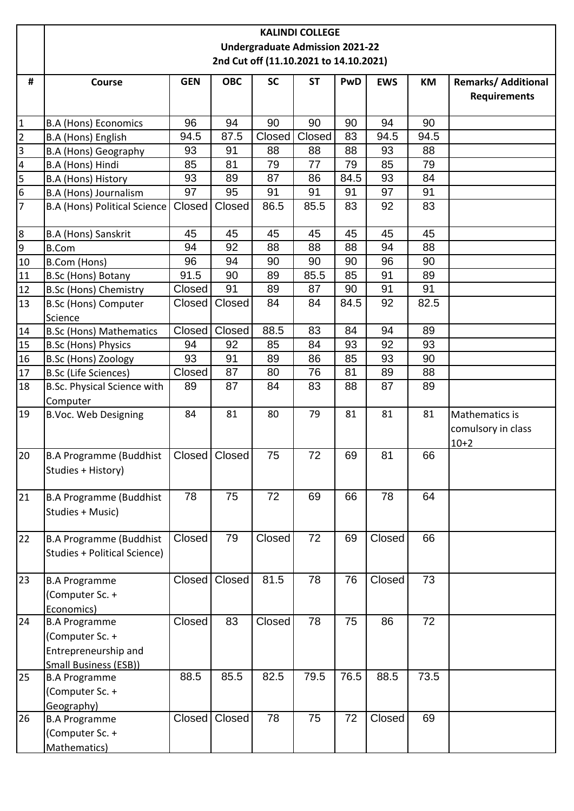|                         | <b>KALINDI COLLEGE</b>                 |               |               |           |           |      |            |      |                            |  |  |
|-------------------------|----------------------------------------|---------------|---------------|-----------|-----------|------|------------|------|----------------------------|--|--|
|                         | <b>Undergraduate Admission 2021-22</b> |               |               |           |           |      |            |      |                            |  |  |
|                         | 2nd Cut off (11.10.2021 to 14.10.2021) |               |               |           |           |      |            |      |                            |  |  |
| #                       |                                        | <b>GEN</b>    | <b>OBC</b>    | <b>SC</b> | <b>ST</b> | PwD  |            |      | <b>Remarks/ Additional</b> |  |  |
|                         | Course                                 |               |               |           |           |      | <b>EWS</b> | КM   | <b>Requirements</b>        |  |  |
|                         |                                        |               |               |           |           |      |            |      |                            |  |  |
| 1                       | <b>B.A (Hons) Economics</b>            | 96            | 94            | 90        | 90        | 90   | 94         | 90   |                            |  |  |
| $\overline{2}$          | B.A (Hons) English                     | 94.5          | 87.5          | Closed    | Closed    | 83   | 94.5       | 94.5 |                            |  |  |
| $\overline{\mathbf{3}}$ | B.A (Hons) Geography                   | 93            | 91            | 88        | 88        | 88   | 93         | 88   |                            |  |  |
| $\overline{\mathbf{4}}$ | B.A (Hons) Hindi                       | 85            | 81            | 79        | 77        | 79   | 85         | 79   |                            |  |  |
| 5                       | B.A (Hons) History                     | 93            | 89            | 87        | 86        | 84.5 | 93         | 84   |                            |  |  |
| 6                       | B.A (Hons) Journalism                  | 97            | 95            | 91        | 91        | 91   | 97         | 91   |                            |  |  |
| $\overline{7}$          | <b>B.A (Hons) Political Science</b>    | Closed        | Closed        | 86.5      | 85.5      | 83   | 92         | 83   |                            |  |  |
|                         |                                        |               |               |           |           |      |            |      |                            |  |  |
| 8                       | B.A (Hons) Sanskrit                    | 45            | 45            | 45        | 45        | 45   | 45         | 45   |                            |  |  |
| 9                       | <b>B.Com</b>                           | 94            | 92            | 88        | 88        | 88   | 94         | 88   |                            |  |  |
| 10                      | B.Com (Hons)                           | 96            | 94            | 90        | 90        | 90   | 96         | 90   |                            |  |  |
| 11                      | B.Sc (Hons) Botany                     | 91.5          | 90            | 89        | 85.5      | 85   | 91         | 89   |                            |  |  |
| 12                      | <b>B.Sc (Hons) Chemistry</b>           | Closed        | 91            | 89        | 87        | 90   | 91         | 91   |                            |  |  |
| 13                      | <b>B.Sc (Hons) Computer</b>            | Closed        | Closed        | 84        | 84        | 84.5 | 92         | 82.5 |                            |  |  |
|                         | Science                                |               |               |           |           |      |            |      |                            |  |  |
| 14                      | <b>B.Sc (Hons) Mathematics</b>         | <b>Closed</b> | Closed        | 88.5      | 83        | 84   | 94         | 89   |                            |  |  |
| 15                      | <b>B.Sc (Hons) Physics</b>             | 94            | 92            | 85        | 84        | 93   | 92         | 93   |                            |  |  |
| 16                      | <b>B.Sc (Hons) Zoology</b>             | 93            | 91            | 89        | 86        | 85   | 93         | 90   |                            |  |  |
| 17                      | <b>B.Sc (Life Sciences)</b>            | Closed        | 87            | 80        | 76        | 81   | 89         | 88   |                            |  |  |
| 18                      | B.Sc. Physical Science with            | 89            | 87            | 84        | 83        | 88   | 87         | 89   |                            |  |  |
|                         | Computer                               |               |               |           |           |      |            |      |                            |  |  |
| 19                      | <b>B.Voc. Web Designing</b>            | 84            | 81            | 80        | 79        | 81   | 81         | 81   | Mathematics is             |  |  |
|                         |                                        |               |               |           |           |      |            |      | comulsory in class         |  |  |
|                         |                                        |               |               |           |           |      |            |      | $10+2$                     |  |  |
| 20                      | B.A Programme (Buddhist                |               | Closed Closed | 75        | 72        | 69   | 81         | 66   |                            |  |  |
|                         | Studies + History)                     |               |               |           |           |      |            |      |                            |  |  |
|                         |                                        |               |               |           |           |      |            |      |                            |  |  |
| 21                      | <b>B.A Programme (Buddhist</b>         | 78            | 75            | 72        | 69        | 66   | 78         | 64   |                            |  |  |
|                         | Studies + Music)                       |               |               |           |           |      |            |      |                            |  |  |
|                         |                                        |               |               |           |           |      |            |      |                            |  |  |
| 22                      | <b>B.A Programme (Buddhist</b>         | Closed        | 79            | Closed    | 72        | 69   | Closed     | 66   |                            |  |  |
|                         | Studies + Political Science)           |               |               |           |           |      |            |      |                            |  |  |
|                         |                                        |               |               |           |           |      |            |      |                            |  |  |
| 23                      | <b>B.A Programme</b>                   | Closed        | Closed        | 81.5      | 78        | 76   | Closed     | 73   |                            |  |  |
|                         | (Computer Sc. +                        |               |               |           |           |      |            |      |                            |  |  |
|                         | Economics)                             |               |               |           |           |      |            |      |                            |  |  |
| 24                      | <b>B.A Programme</b>                   | Closed        | 83            | Closed    | 78        | 75   | 86         | 72   |                            |  |  |
|                         | (Computer Sc. +                        |               |               |           |           |      |            |      |                            |  |  |
|                         | Entrepreneurship and                   |               |               |           |           |      |            |      |                            |  |  |
|                         | <b>Small Business (ESB))</b>           |               |               |           |           | 76.5 |            |      |                            |  |  |
| 25                      | <b>B.A Programme</b>                   | 88.5          | 85.5          | 82.5      | 79.5      |      | 88.5       | 73.5 |                            |  |  |
|                         | (Computer Sc. +                        |               |               |           |           |      |            |      |                            |  |  |
|                         | Geography)                             |               | Closed        | 78        | 75        | 72   | Closed     | 69   |                            |  |  |
| 26                      | <b>B.A Programme</b>                   | Closed        |               |           |           |      |            |      |                            |  |  |
|                         | (Computer Sc. +                        |               |               |           |           |      |            |      |                            |  |  |
|                         | Mathematics)                           |               |               |           |           |      |            |      |                            |  |  |